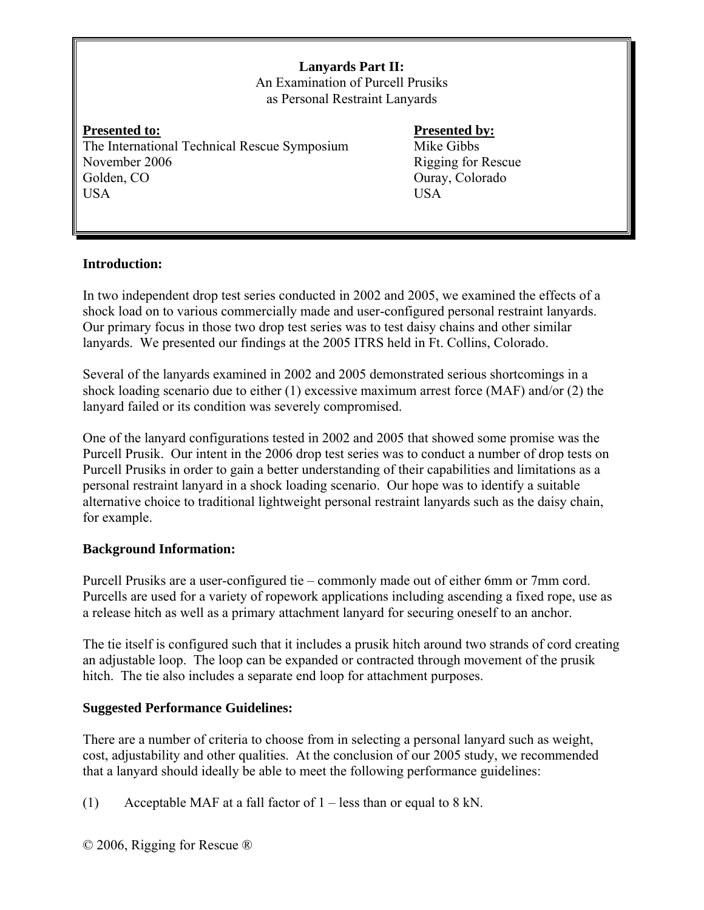**Lanyards Part II:**  An Examination of Purcell Prusiks as Personal Restraint Lanyards

**Presented to:** Presented by: The International Technical Rescue Symposium Mike Gibbs November 2006 Rigging for Rescue Golden, CO Ouray, Colorado USA USA

### **Introduction:**

In two independent drop test series conducted in 2002 and 2005, we examined the effects of a shock load on to various commercially made and user-configured personal restraint lanyards. Our primary focus in those two drop test series was to test daisy chains and other similar lanyards. We presented our findings at the 2005 ITRS held in Ft. Collins, Colorado.

Several of the lanyards examined in 2002 and 2005 demonstrated serious shortcomings in a shock loading scenario due to either (1) excessive maximum arrest force (MAF) and/or (2) the lanyard failed or its condition was severely compromised.

One of the lanyard configurations tested in 2002 and 2005 that showed some promise was the Purcell Prusik. Our intent in the 2006 drop test series was to conduct a number of drop tests on Purcell Prusiks in order to gain a better understanding of their capabilities and limitations as a personal restraint lanyard in a shock loading scenario. Our hope was to identify a suitable alternative choice to traditional lightweight personal restraint lanyards such as the daisy chain, for example.

### **Background Information:**

Purcell Prusiks are a user-configured tie – commonly made out of either 6mm or 7mm cord. Purcells are used for a variety of ropework applications including ascending a fixed rope, use as a release hitch as well as a primary attachment lanyard for securing oneself to an anchor.

The tie itself is configured such that it includes a prusik hitch around two strands of cord creating an adjustable loop. The loop can be expanded or contracted through movement of the prusik hitch. The tie also includes a separate end loop for attachment purposes.

### **Suggested Performance Guidelines:**

There are a number of criteria to choose from in selecting a personal lanyard such as weight, cost, adjustability and other qualities. At the conclusion of our 2005 study, we recommended that a lanyard should ideally be able to meet the following performance guidelines:

(1) Acceptable MAF at a fall factor of  $1 -$  less than or equal to 8 kN.

© 2006, Rigging for Rescue ®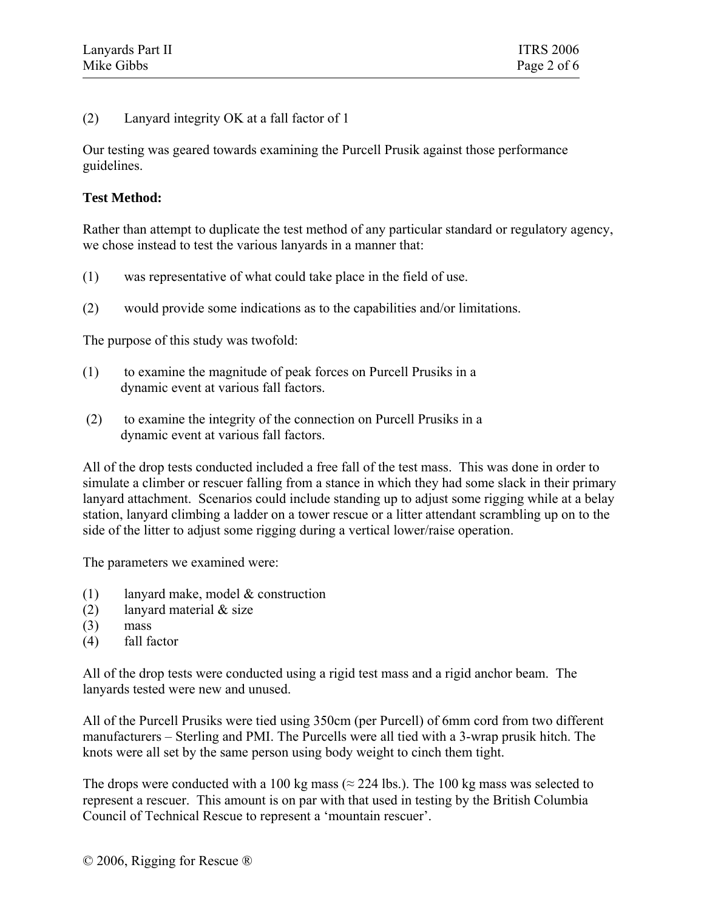(2) Lanyard integrity OK at a fall factor of 1

Our testing was geared towards examining the Purcell Prusik against those performance guidelines.

### **Test Method:**

Rather than attempt to duplicate the test method of any particular standard or regulatory agency, we chose instead to test the various lanyards in a manner that:

- (1) was representative of what could take place in the field of use.
- (2) would provide some indications as to the capabilities and/or limitations.

The purpose of this study was twofold:

- (1) to examine the magnitude of peak forces on Purcell Prusiks in a dynamic event at various fall factors.
- (2) to examine the integrity of the connection on Purcell Prusiks in a dynamic event at various fall factors.

All of the drop tests conducted included a free fall of the test mass. This was done in order to simulate a climber or rescuer falling from a stance in which they had some slack in their primary lanyard attachment. Scenarios could include standing up to adjust some rigging while at a belay station, lanyard climbing a ladder on a tower rescue or a litter attendant scrambling up on to the side of the litter to adjust some rigging during a vertical lower/raise operation.

The parameters we examined were:

- (1) lanyard make, model & construction
- (2) lanyard material  $&$  size
- (3) mass
- (4) fall factor

All of the drop tests were conducted using a rigid test mass and a rigid anchor beam. The lanyards tested were new and unused.

All of the Purcell Prusiks were tied using 350cm (per Purcell) of 6mm cord from two different manufacturers – Sterling and PMI. The Purcells were all tied with a 3-wrap prusik hitch. The knots were all set by the same person using body weight to cinch them tight.

The drops were conducted with a 100 kg mass ( $\approx$  224 lbs.). The 100 kg mass was selected to represent a rescuer. This amount is on par with that used in testing by the British Columbia Council of Technical Rescue to represent a 'mountain rescuer'.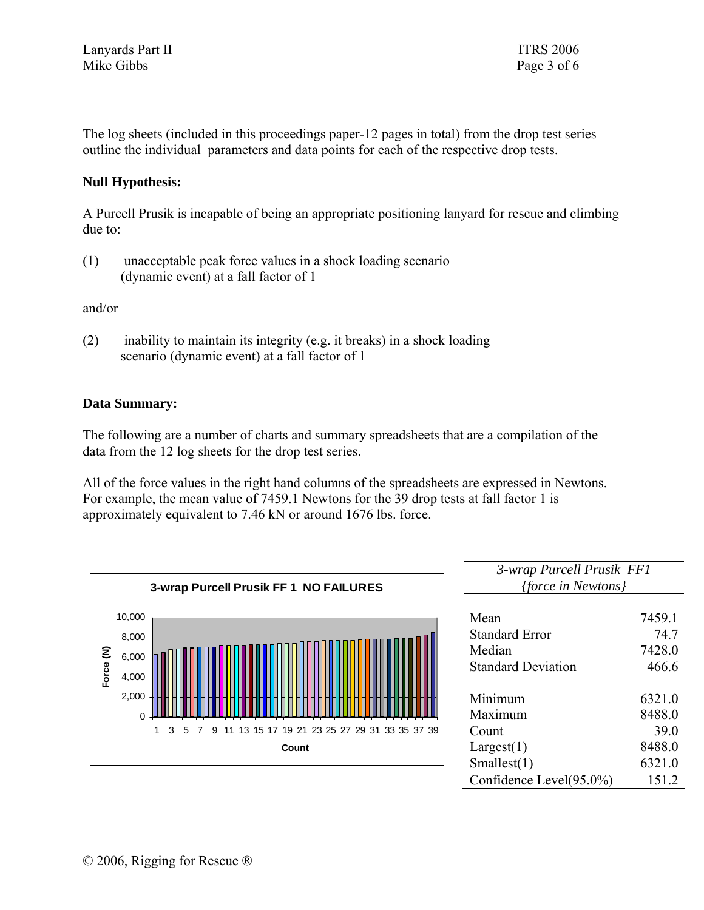| Lanyards Part II | <b>ITRS 2006</b> |
|------------------|------------------|
| Mike Gibbs       | Page 3 of 6      |

The log sheets (included in this proceedings paper-12 pages in total) from the drop test series outline the individual parameters and data points for each of the respective drop tests.

### **Null Hypothesis:**

A Purcell Prusik is incapable of being an appropriate positioning lanyard for rescue and climbing due to:

(1) unacceptable peak force values in a shock loading scenario (dynamic event) at a fall factor of 1

and/or

(2) inability to maintain its integrity (e.g. it breaks) in a shock loading scenario (dynamic event) at a fall factor of 1

### **Data Summary:**

The following are a number of charts and summary spreadsheets that are a compilation of the data from the 12 log sheets for the drop test series.

All of the force values in the right hand columns of the spreadsheets are expressed in Newtons. For example, the mean value of 7459.1 Newtons for the 39 drop tests at fall factor 1 is approximately equivalent to 7.46 kN or around 1676 lbs. force.



| 3-wrap Purcell Prusik FF1 |        |
|---------------------------|--------|
| <i>{force in Newtons}</i> |        |
|                           |        |
| Mean                      | 7459.1 |
| <b>Standard Error</b>     | 74.7   |
| Median                    | 7428.0 |
| <b>Standard Deviation</b> | 466.6  |
|                           |        |
| Minimum                   | 6321.0 |
| Maximum                   | 8488.0 |
| Count                     | 39.0   |
| Largest(1)                | 8488.0 |
| Smallest(1)               | 6321.0 |
| Confidence Level(95.0%)   | 151.2  |
|                           |        |

 $\overline{a}$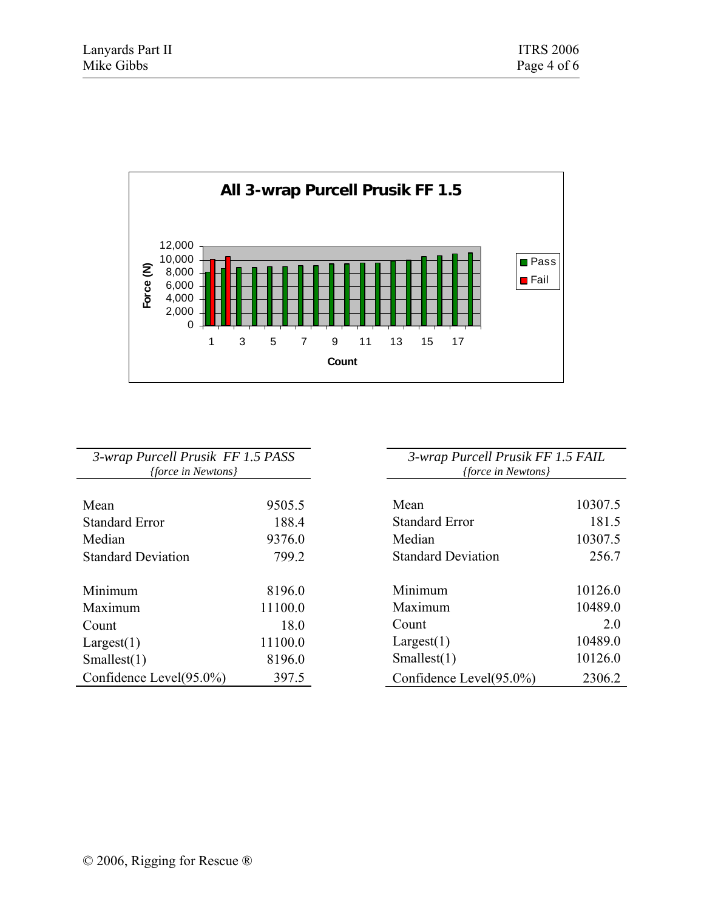

| 3-wrap Purcell Prusik FF 1.5 PASS |         |  |  |  |  |  |  |
|-----------------------------------|---------|--|--|--|--|--|--|
| {force in Newtons}                |         |  |  |  |  |  |  |
|                                   |         |  |  |  |  |  |  |
| Mean                              | 9505.5  |  |  |  |  |  |  |
| <b>Standard Error</b>             | 188.4   |  |  |  |  |  |  |
| Median                            | 9376.0  |  |  |  |  |  |  |
| <b>Standard Deviation</b>         | 799.2   |  |  |  |  |  |  |
|                                   |         |  |  |  |  |  |  |
| Minimum                           | 8196.0  |  |  |  |  |  |  |
| Maximum                           | 11100.0 |  |  |  |  |  |  |
| Count                             | 18.0    |  |  |  |  |  |  |
| Largest(1)                        | 11100.0 |  |  |  |  |  |  |
| Smallest(1)                       | 8196.0  |  |  |  |  |  |  |
| Confidence Level(95.0%)           | 397.5   |  |  |  |  |  |  |

| 3-wrap Purcell Prusik FF 1.5 FAIL |         |  |  |  |  |  |
|-----------------------------------|---------|--|--|--|--|--|
| <i>{force in Newtons}</i>         |         |  |  |  |  |  |
|                                   |         |  |  |  |  |  |
| Mean                              | 10307.5 |  |  |  |  |  |
| <b>Standard Error</b>             | 181.5   |  |  |  |  |  |
| Median                            | 10307.5 |  |  |  |  |  |
| <b>Standard Deviation</b>         | 256.7   |  |  |  |  |  |
|                                   |         |  |  |  |  |  |
| Minimum                           | 10126.0 |  |  |  |  |  |
| Maximum                           | 10489.0 |  |  |  |  |  |
| Count                             | 20      |  |  |  |  |  |
| Largest(1)                        | 10489.0 |  |  |  |  |  |
| Smallest(1)                       | 101260  |  |  |  |  |  |
| Confidence Level(95.0%)           | 23062   |  |  |  |  |  |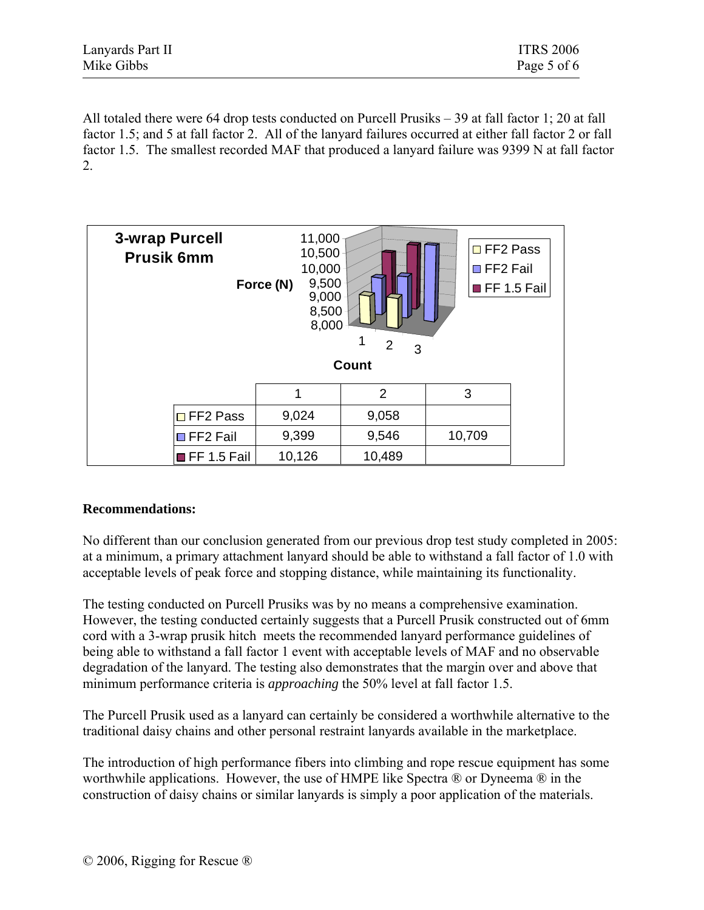| Lanyards Part II | <b>ITRS 2006</b> |
|------------------|------------------|
| Mike Gibbs       | Page 5 of 6      |

All totaled there were 64 drop tests conducted on Purcell Prusiks – 39 at fall factor 1; 20 at fall factor 1.5; and 5 at fall factor 2. All of the lanyard failures occurred at either fall factor 2 or fall factor 1.5. The smallest recorded MAF that produced a lanyard failure was 9399 N at fall factor 2.



### **Recommendations:**

No different than our conclusion generated from our previous drop test study completed in 2005: at a minimum, a primary attachment lanyard should be able to withstand a fall factor of 1.0 with acceptable levels of peak force and stopping distance, while maintaining its functionality.

The testing conducted on Purcell Prusiks was by no means a comprehensive examination. However, the testing conducted certainly suggests that a Purcell Prusik constructed out of 6mm cord with a 3-wrap prusik hitch meets the recommended lanyard performance guidelines of being able to withstand a fall factor 1 event with acceptable levels of MAF and no observable degradation of the lanyard. The testing also demonstrates that the margin over and above that minimum performance criteria is *approaching* the 50% level at fall factor 1.5.

The Purcell Prusik used as a lanyard can certainly be considered a worthwhile alternative to the traditional daisy chains and other personal restraint lanyards available in the marketplace.

The introduction of high performance fibers into climbing and rope rescue equipment has some worthwhile applications. However, the use of HMPE like Spectra ® or Dyneema ® in the construction of daisy chains or similar lanyards is simply a poor application of the materials.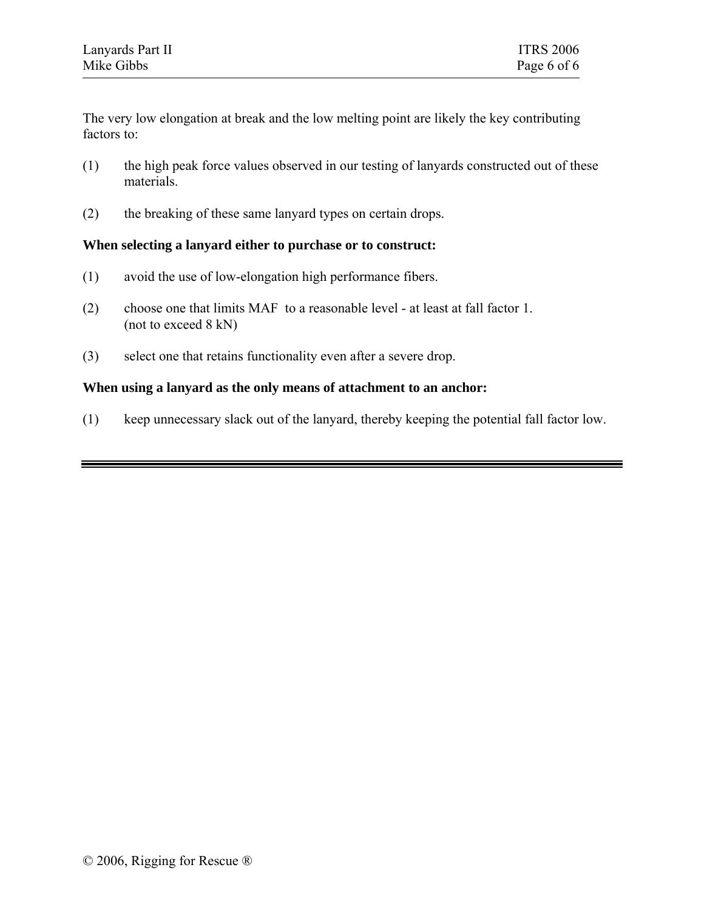The very low elongation at break and the low melting point are likely the key contributing factors to:

- (1) the high peak force values observed in our testing of lanyards constructed out of these materials.
- (2) the breaking of these same lanyard types on certain drops.

### **When selecting a lanyard either to purchase or to construct:**

- (1) avoid the use of low-elongation high performance fibers.
- (2) choose one that limits MAF to a reasonable level at least at fall factor 1. (not to exceed 8 kN)
- (3) select one that retains functionality even after a severe drop.

### **When using a lanyard as the only means of attachment to an anchor:**

(1) keep unnecessary slack out of the lanyard, thereby keeping the potential fall factor low.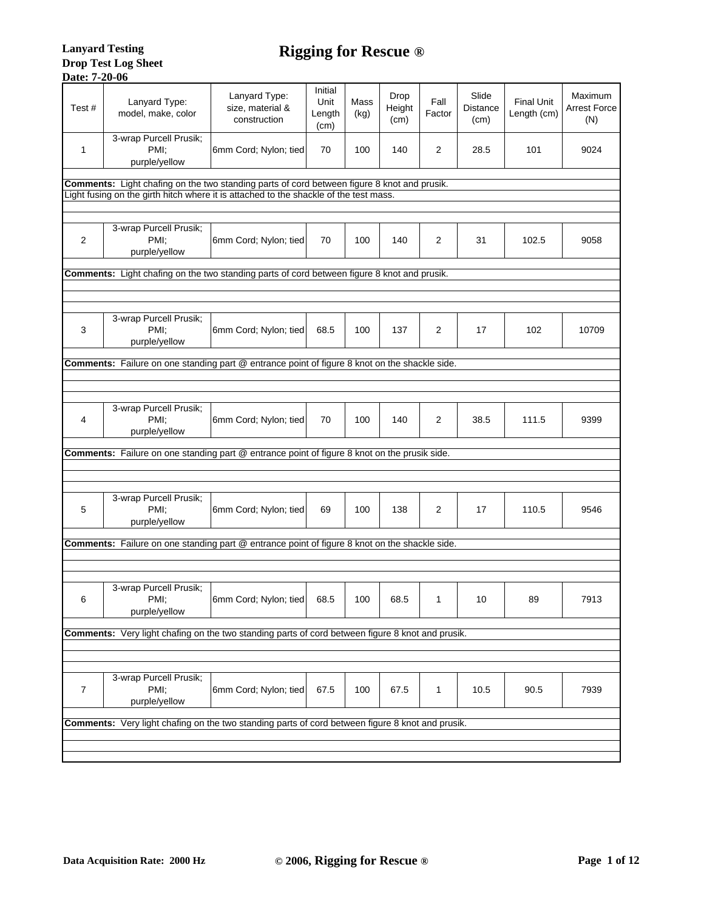| Test# | Lanyard Type:<br>model, make, color                                                                                                                                                  | Lanyard Type:<br>size, material &<br>construction | Initial<br>Unit<br>Length<br>(cm) | Mass<br>(kg) | Drop<br>Height<br>(cm) | Fall<br>Factor | Slide<br><b>Distance</b><br>(cm) | <b>Final Unit</b><br>Length (cm) | Maximum<br><b>Arrest Force</b><br>(N) |  |
|-------|--------------------------------------------------------------------------------------------------------------------------------------------------------------------------------------|---------------------------------------------------|-----------------------------------|--------------|------------------------|----------------|----------------------------------|----------------------------------|---------------------------------------|--|
| 1     | 3-wrap Purcell Prusik;<br>PMI:<br>purple/yellow                                                                                                                                      | 6mm Cord; Nylon; tied                             | 70                                | 100          | 140                    | 2              | 28.5                             | 101                              | 9024                                  |  |
|       | Comments: Light chafing on the two standing parts of cord between figure 8 knot and prusik.<br>Light fusing on the girth hitch where it is attached to the shackle of the test mass. |                                                   |                                   |              |                        |                |                                  |                                  |                                       |  |
| 2     | 3-wrap Purcell Prusik;<br>PMI;<br>purple/yellow                                                                                                                                      | 6mm Cord; Nylon; tied                             | 70                                | 100          | 140                    | 2              | 31                               | 102.5                            | 9058                                  |  |
|       | Comments: Light chafing on the two standing parts of cord between figure 8 knot and prusik.                                                                                          |                                                   |                                   |              |                        |                |                                  |                                  |                                       |  |
|       |                                                                                                                                                                                      |                                                   |                                   |              |                        |                |                                  |                                  |                                       |  |
| 3     | 3-wrap Purcell Prusik;<br>PMI:<br>purple/yellow                                                                                                                                      | 6mm Cord; Nylon; tied                             | 68.5                              | 100          | 137                    | 2              | 17                               | 102                              | 10709                                 |  |
|       | Comments: Failure on one standing part @ entrance point of figure 8 knot on the shackle side.                                                                                        |                                                   |                                   |              |                        |                |                                  |                                  |                                       |  |
|       |                                                                                                                                                                                      |                                                   |                                   |              |                        |                |                                  |                                  |                                       |  |
|       |                                                                                                                                                                                      |                                                   |                                   |              |                        |                |                                  |                                  |                                       |  |
| 4     | 3-wrap Purcell Prusik;<br>PMI:<br>purple/yellow                                                                                                                                      | 6mm Cord; Nylon; tied                             | 70                                | 100          | 140                    | 2              | 38.5                             | 111.5                            | 9399                                  |  |
|       | Comments: Failure on one standing part @ entrance point of figure 8 knot on the prusik side.                                                                                         |                                                   |                                   |              |                        |                |                                  |                                  |                                       |  |
|       |                                                                                                                                                                                      |                                                   |                                   |              |                        |                |                                  |                                  |                                       |  |
|       |                                                                                                                                                                                      |                                                   |                                   |              |                        |                |                                  |                                  |                                       |  |
| 5     | 3-wrap Purcell Prusik;<br>PMI;<br>purple/yellow                                                                                                                                      | 6mm Cord; Nylon; tied                             | 69                                | 100          | 138                    | 2              | 17                               | 110.5                            | 9546                                  |  |
|       | Comments: Failure on one standing part @ entrance point of figure 8 knot on the shackle side.                                                                                        |                                                   |                                   |              |                        |                |                                  |                                  |                                       |  |
|       |                                                                                                                                                                                      |                                                   |                                   |              |                        |                |                                  |                                  |                                       |  |
|       |                                                                                                                                                                                      |                                                   |                                   |              |                        |                |                                  |                                  |                                       |  |
| 6     | 3-wrap Purcell Prusik;<br>PMI.<br>purple/yellow                                                                                                                                      | 6mm Cord; Nylon; tied                             | 68.5                              | 100          | 68.5                   | 1              | 10                               | 89                               | 7913                                  |  |
|       | Comments: Very light chafing on the two standing parts of cord between figure 8 knot and prusik.                                                                                     |                                                   |                                   |              |                        |                |                                  |                                  |                                       |  |
|       |                                                                                                                                                                                      |                                                   |                                   |              |                        |                |                                  |                                  |                                       |  |
|       |                                                                                                                                                                                      |                                                   |                                   |              |                        |                |                                  |                                  |                                       |  |
| 7     | 3-wrap Purcell Prusik;<br>PMI:<br>purple/yellow                                                                                                                                      | 6mm Cord; Nylon; tied                             | 67.5                              | 100          | 67.5                   | 1              | 10.5                             | 90.5                             | 7939                                  |  |
|       | <b>Comments:</b> Very light chafing on the two standing parts of cord between figure 8 knot and prusik.                                                                              |                                                   |                                   |              |                        |                |                                  |                                  |                                       |  |
|       |                                                                                                                                                                                      |                                                   |                                   |              |                        |                |                                  |                                  |                                       |  |
|       |                                                                                                                                                                                      |                                                   |                                   |              |                        |                |                                  |                                  |                                       |  |
|       |                                                                                                                                                                                      |                                                   |                                   |              |                        |                |                                  |                                  |                                       |  |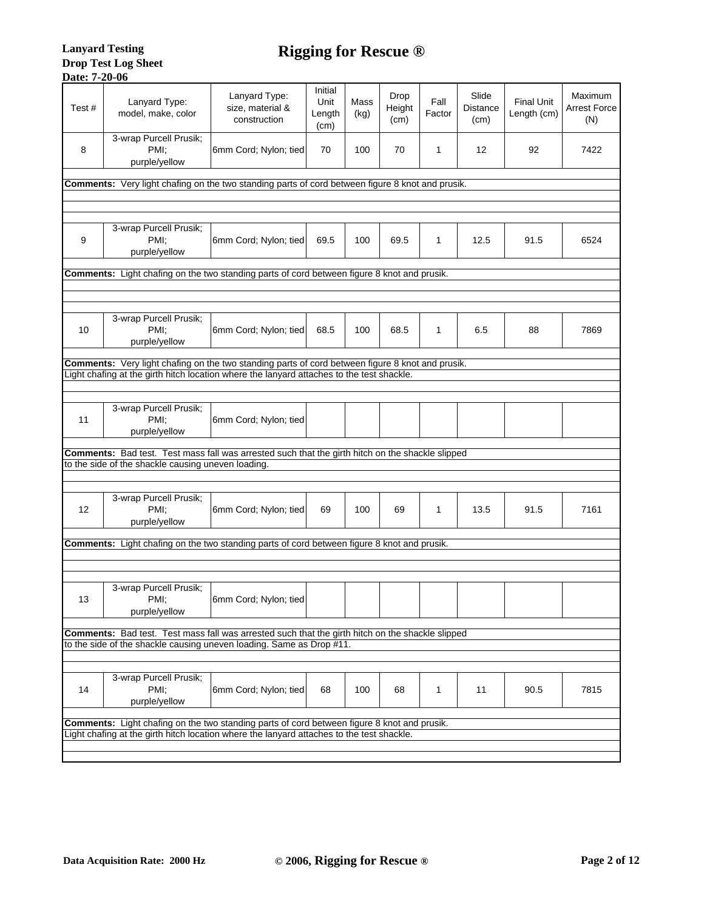| Test# | Lanyard Type:<br>model, make, color                                                                     | Lanyard Type:<br>size, material &<br>construction | Initial<br>Unit<br>Length<br>(cm) | Mass<br>(kg) | Drop<br>Height<br>(cm) | Fall<br>Factor | Slide<br><b>Distance</b><br>(cm) | <b>Final Unit</b><br>Length (cm) | Maximum<br><b>Arrest Force</b><br>(N) |
|-------|---------------------------------------------------------------------------------------------------------|---------------------------------------------------|-----------------------------------|--------------|------------------------|----------------|----------------------------------|----------------------------------|---------------------------------------|
| 8     | 3-wrap Purcell Prusik;<br>PMI:<br>purple/yellow                                                         | 6mm Cord; Nylon; tied                             | 70                                | 100          | 70                     | 1              | 12                               | 92                               | 7422                                  |
|       | <b>Comments:</b> Very light chafing on the two standing parts of cord between figure 8 knot and prusik. |                                                   |                                   |              |                        |                |                                  |                                  |                                       |
|       |                                                                                                         |                                                   |                                   |              |                        |                |                                  |                                  |                                       |
| 9     | 3-wrap Purcell Prusik;<br>PMI:<br>purple/yellow                                                         | 6mm Cord; Nylon; tied                             | 69.5                              | 100          | 69.5                   | 1              | 12.5                             | 91.5                             | 6524                                  |
|       | <b>Comments:</b> Light chafing on the two standing parts of cord between figure 8 knot and prusik.      |                                                   |                                   |              |                        |                |                                  |                                  |                                       |
|       |                                                                                                         |                                                   |                                   |              |                        |                |                                  |                                  |                                       |
|       |                                                                                                         |                                                   |                                   |              |                        |                |                                  |                                  |                                       |
| 10    | 3-wrap Purcell Prusik;<br>PMI:<br>purple/yellow                                                         | 6mm Cord; Nylon; tied                             | 68.5                              | 100          | 68.5                   | 1              | 6.5                              | 88                               | 7869                                  |
|       | <b>Comments:</b> Very light chafing on the two standing parts of cord between figure 8 knot and prusik. |                                                   |                                   |              |                        |                |                                  |                                  |                                       |
|       | Light chafing at the girth hitch location where the lanyard attaches to the test shackle.               |                                                   |                                   |              |                        |                |                                  |                                  |                                       |
|       |                                                                                                         |                                                   |                                   |              |                        |                |                                  |                                  |                                       |
| 11    | 3-wrap Purcell Prusik;<br>PMI:<br>purple/yellow                                                         | 6mm Cord; Nylon; tied                             |                                   |              |                        |                |                                  |                                  |                                       |
|       | Comments: Bad test. Test mass fall was arrested such that the girth hitch on the shackle slipped        |                                                   |                                   |              |                        |                |                                  |                                  |                                       |
|       | to the side of the shackle causing uneven loading.                                                      |                                                   |                                   |              |                        |                |                                  |                                  |                                       |
|       |                                                                                                         |                                                   |                                   |              |                        |                |                                  |                                  |                                       |
| 12    | 3-wrap Purcell Prusik;<br>PMI:<br>purple/yellow                                                         | 6mm Cord; Nylon; tied                             | 69                                | 100          | 69                     | 1              | 13.5                             | 91.5                             | 7161                                  |
|       | <b>Comments:</b> Light chafing on the two standing parts of cord between figure 8 knot and prusik.      |                                                   |                                   |              |                        |                |                                  |                                  |                                       |
|       |                                                                                                         |                                                   |                                   |              |                        |                |                                  |                                  |                                       |
|       |                                                                                                         |                                                   |                                   |              |                        |                |                                  |                                  |                                       |
|       | 3-wrap Purcell Prusik;                                                                                  |                                                   |                                   |              |                        |                |                                  |                                  |                                       |
| 13    | PMI;<br>purple/yellow                                                                                   | 6mm Cord; Nylon; tied                             |                                   |              |                        |                |                                  |                                  |                                       |
|       | Comments: Bad test. Test mass fall was arrested such that the girth hitch on the shackle slipped        |                                                   |                                   |              |                        |                |                                  |                                  |                                       |
|       | to the side of the shackle causing uneven loading. Same as Drop #11.                                    |                                                   |                                   |              |                        |                |                                  |                                  |                                       |
|       |                                                                                                         |                                                   |                                   |              |                        |                |                                  |                                  |                                       |
| 14    | 3-wrap Purcell Prusik;<br>PMI:<br>purple/yellow                                                         | 6mm Cord; Nylon; tied                             | 68                                | 100          | 68                     | 1              | 11                               | 90.5                             | 7815                                  |
|       | <b>Comments:</b> Light chafing on the two standing parts of cord between figure 8 knot and prusik.      |                                                   |                                   |              |                        |                |                                  |                                  |                                       |
|       | Light chafing at the girth hitch location where the lanyard attaches to the test shackle.               |                                                   |                                   |              |                        |                |                                  |                                  |                                       |
|       |                                                                                                         |                                                   |                                   |              |                        |                |                                  |                                  |                                       |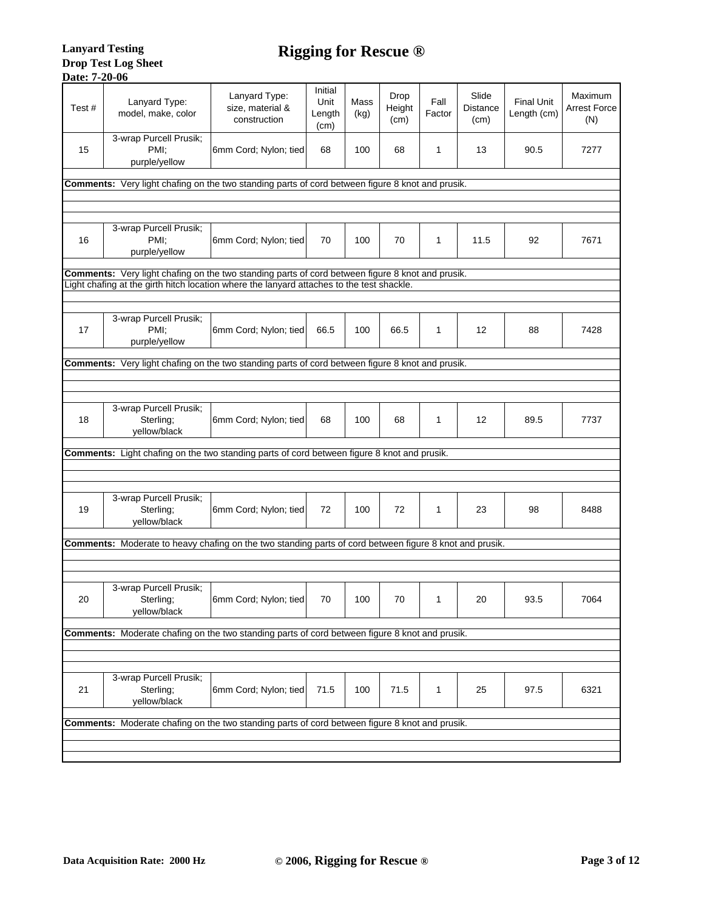| Test# | Lanyard Type:<br>model, make, color                                                                     | Lanyard Type:<br>size, material &<br>construction | Initial<br>Unit<br>Length<br>(cm) | Mass<br>(kg) | Drop<br>Height<br>(cm) | Fall<br>Factor | Slide<br><b>Distance</b><br>(cm) | <b>Final Unit</b><br>Length (cm) | Maximum<br><b>Arrest Force</b><br>(N) |
|-------|---------------------------------------------------------------------------------------------------------|---------------------------------------------------|-----------------------------------|--------------|------------------------|----------------|----------------------------------|----------------------------------|---------------------------------------|
| 15    | 3-wrap Purcell Prusik;<br>PMI:<br>purple/yellow                                                         | 6mm Cord; Nylon; tied                             | 68                                | 100          | 68                     | 1              | 13                               | 90.5                             | 7277                                  |
|       | Comments: Very light chafing on the two standing parts of cord between figure 8 knot and prusik.        |                                                   |                                   |              |                        |                |                                  |                                  |                                       |
|       |                                                                                                         |                                                   |                                   |              |                        |                |                                  |                                  |                                       |
| 16    | 3-wrap Purcell Prusik;<br>PMI:<br>purple/yellow                                                         | 6mm Cord; Nylon; tied                             | 70                                | 100          | 70                     | 1              | 11.5                             | 92                               | 7671                                  |
|       | Comments: Very light chafing on the two standing parts of cord between figure 8 knot and prusik.        |                                                   |                                   |              |                        |                |                                  |                                  |                                       |
|       | Light chafing at the girth hitch location where the lanyard attaches to the test shackle.               |                                                   |                                   |              |                        |                |                                  |                                  |                                       |
|       | 3-wrap Purcell Prusik;                                                                                  |                                                   |                                   |              |                        |                |                                  |                                  |                                       |
| 17    | PMI:<br>purple/yellow                                                                                   | 6mm Cord; Nylon; tied                             | 66.5                              | 100          | 66.5                   | 1              | 12                               | 88                               | 7428                                  |
|       | <b>Comments:</b> Very light chafing on the two standing parts of cord between figure 8 knot and prusik. |                                                   |                                   |              |                        |                |                                  |                                  |                                       |
|       |                                                                                                         |                                                   |                                   |              |                        |                |                                  |                                  |                                       |
|       |                                                                                                         |                                                   |                                   |              |                        |                |                                  |                                  |                                       |
| 18    | 3-wrap Purcell Prusik;<br>Sterling;<br>yellow/black                                                     | 6mm Cord; Nylon; tied                             | 68                                | 100          | 68                     | 1              | 12                               | 89.5                             | 7737                                  |
|       | Comments: Light chafing on the two standing parts of cord between figure 8 knot and prusik.             |                                                   |                                   |              |                        |                |                                  |                                  |                                       |
|       |                                                                                                         |                                                   |                                   |              |                        |                |                                  |                                  |                                       |
| 19    | 3-wrap Purcell Prusik;<br>Sterling;<br>yellow/black                                                     | 6mm Cord; Nylon; tied                             | 72                                | 100          | 72                     | 1              | 23                               | 98                               | 8488                                  |
|       | Comments: Moderate to heavy chafing on the two standing parts of cord between figure 8 knot and prusik. |                                                   |                                   |              |                        |                |                                  |                                  |                                       |
|       |                                                                                                         |                                                   |                                   |              |                        |                |                                  |                                  |                                       |
|       |                                                                                                         |                                                   |                                   |              |                        |                |                                  |                                  |                                       |
| 20    | 3-wrap Purcell Prusik;<br>Sterling;<br>yellow/black                                                     | 6mm Cord; Nylon; tied                             | 70                                | 100          | 70                     | 1              | 20                               | 93.5                             | 7064                                  |
|       | Comments: Moderate chafing on the two standing parts of cord between figure 8 knot and prusik.          |                                                   |                                   |              |                        |                |                                  |                                  |                                       |
|       |                                                                                                         |                                                   |                                   |              |                        |                |                                  |                                  |                                       |
| 21    | 3-wrap Purcell Prusik;<br>Sterling;<br>yellow/black                                                     | 6mm Cord; Nylon; tied                             | 71.5                              | 100          | 71.5                   | $\mathbf{1}$   | 25                               | 97.5                             | 6321                                  |
|       |                                                                                                         |                                                   |                                   |              |                        |                |                                  |                                  |                                       |
|       | Comments: Moderate chafing on the two standing parts of cord between figure 8 knot and prusik.          |                                                   |                                   |              |                        |                |                                  |                                  |                                       |
|       |                                                                                                         |                                                   |                                   |              |                        |                |                                  |                                  |                                       |
|       |                                                                                                         |                                                   |                                   |              |                        |                |                                  |                                  |                                       |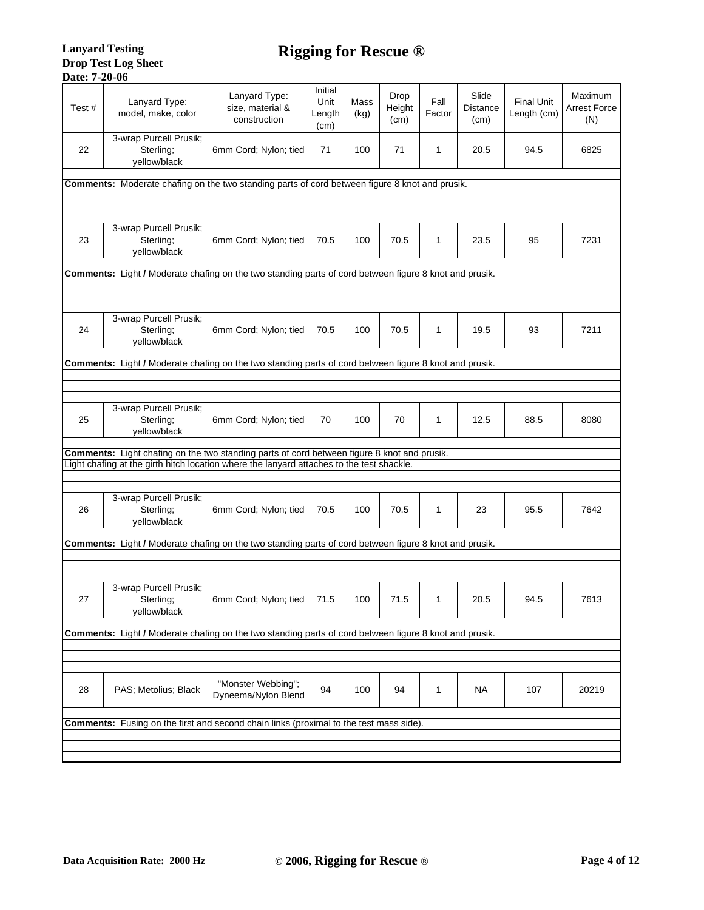| Test# | Lanyard Type:<br>model, make, color                                                                                                                                                      | Lanyard Type:<br>size, material &<br>construction | Initial<br>Unit<br>Length<br>(cm) | Mass<br>(kg) | Drop<br>Height<br>(cm) | Fall<br>Factor | Slide<br><b>Distance</b><br>(cm) | <b>Final Unit</b><br>Length (cm) | Maximum<br>Arrest Force<br>(N) |
|-------|------------------------------------------------------------------------------------------------------------------------------------------------------------------------------------------|---------------------------------------------------|-----------------------------------|--------------|------------------------|----------------|----------------------------------|----------------------------------|--------------------------------|
| 22    | 3-wrap Purcell Prusik;<br>Sterling;<br>yellow/black                                                                                                                                      | 6mm Cord; Nylon; tied                             | 71                                | 100          | 71                     | 1              | 20.5                             | 94.5                             | 6825                           |
|       | Comments: Moderate chafing on the two standing parts of cord between figure 8 knot and prusik.                                                                                           |                                                   |                                   |              |                        |                |                                  |                                  |                                |
|       |                                                                                                                                                                                          |                                                   |                                   |              |                        |                |                                  |                                  |                                |
| 23    | 3-wrap Purcell Prusik;<br>Sterling;<br>yellow/black                                                                                                                                      | 6mm Cord; Nylon; tied                             | 70.5                              | 100          | 70.5                   | 1              | 23.5                             | 95                               | 7231                           |
|       | Comments: Light / Moderate chafing on the two standing parts of cord between figure 8 knot and prusik.                                                                                   |                                                   |                                   |              |                        |                |                                  |                                  |                                |
|       |                                                                                                                                                                                          |                                                   |                                   |              |                        |                |                                  |                                  |                                |
|       | 3-wrap Purcell Prusik;                                                                                                                                                                   |                                                   |                                   |              |                        |                |                                  |                                  |                                |
| 24    | Sterling;<br>yellow/black                                                                                                                                                                | 6mm Cord; Nylon; tied                             | 70.5                              | 100          | 70.5                   | 1              | 19.5                             | 93                               | 7211                           |
|       | Comments: Light / Moderate chafing on the two standing parts of cord between figure 8 knot and prusik.                                                                                   |                                                   |                                   |              |                        |                |                                  |                                  |                                |
|       |                                                                                                                                                                                          |                                                   |                                   |              |                        |                |                                  |                                  |                                |
|       |                                                                                                                                                                                          |                                                   |                                   |              |                        |                |                                  |                                  |                                |
| 25    | 3-wrap Purcell Prusik;<br>Sterling;<br>yellow/black                                                                                                                                      | 6mm Cord; Nylon; tied                             | 70                                | 100          | 70                     | 1              | 12.5                             | 88.5                             | 8080                           |
|       | Comments: Light chafing on the two standing parts of cord between figure 8 knot and prusik.<br>Light chafing at the girth hitch location where the lanyard attaches to the test shackle. |                                                   |                                   |              |                        |                |                                  |                                  |                                |
|       |                                                                                                                                                                                          |                                                   |                                   |              |                        |                |                                  |                                  |                                |
| 26    | 3-wrap Purcell Prusik;<br>Sterling;<br>yellow/black                                                                                                                                      | 6mm Cord; Nylon; tied                             | 70.5                              | 100          | 70.5                   | 1              | 23                               | 95.5                             | 7642                           |
|       | Comments: Light / Moderate chafing on the two standing parts of cord between figure 8 knot and prusik.                                                                                   |                                                   |                                   |              |                        |                |                                  |                                  |                                |
|       |                                                                                                                                                                                          |                                                   |                                   |              |                        |                |                                  |                                  |                                |
| 27    | 3-wrap Purcell Prusik;<br>Sterling;<br>yellow/black                                                                                                                                      | 6mm Cord; Nylon; tied                             | 71.5                              | 100          | 71.5                   | 1              | 20.5                             | 94.5                             | 7613                           |
|       | Comments: Light / Moderate chafing on the two standing parts of cord between figure 8 knot and prusik.                                                                                   |                                                   |                                   |              |                        |                |                                  |                                  |                                |
|       |                                                                                                                                                                                          |                                                   |                                   |              |                        |                |                                  |                                  |                                |
|       |                                                                                                                                                                                          |                                                   |                                   |              |                        |                |                                  |                                  |                                |
| 28    | PAS; Metolius; Black                                                                                                                                                                     | "Monster Webbing";<br>Dyneema/Nylon Blend         | 94                                | 100          | 94                     | 1              | <b>NA</b>                        | 107                              | 20219                          |
|       | <b>Comments:</b> Fusing on the first and second chain links (proximal to the test mass side).                                                                                            |                                                   |                                   |              |                        |                |                                  |                                  |                                |
|       |                                                                                                                                                                                          |                                                   |                                   |              |                        |                |                                  |                                  |                                |
|       |                                                                                                                                                                                          |                                                   |                                   |              |                        |                |                                  |                                  |                                |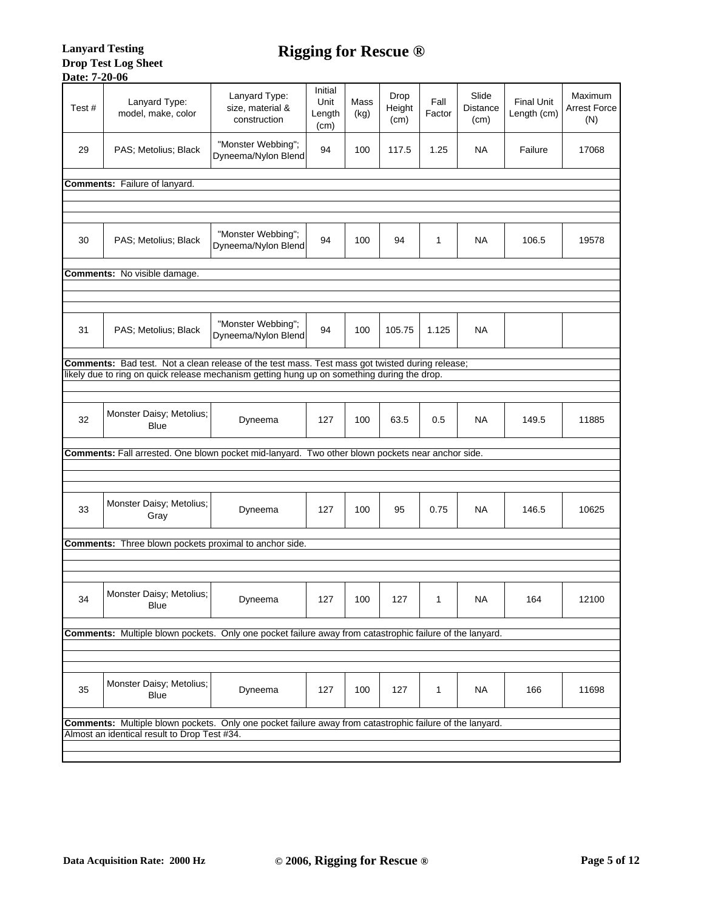| Lanyard Type:<br>Lanyard Type:<br>size, material &<br>Test#<br>model, make, color<br>construction        | Initial<br>Unit<br>Length<br>(cm) | Mass<br>(kg) | Drop<br>Height<br>(cm) | Fall<br>Factor | Slide<br><b>Distance</b><br>(cm) | <b>Final Unit</b><br>Length (cm) | Maximum<br>Arrest Force<br>(N) |
|----------------------------------------------------------------------------------------------------------|-----------------------------------|--------------|------------------------|----------------|----------------------------------|----------------------------------|--------------------------------|
| "Monster Webbing";<br>29<br>PAS; Metolius; Black<br>Dyneema/Nylon Blend                                  | 94                                | 100          | 117.5                  | 1.25           | NA                               | Failure                          | 17068                          |
| <b>Comments:</b> Failure of lanyard.                                                                     |                                   |              |                        |                |                                  |                                  |                                |
|                                                                                                          |                                   |              |                        |                |                                  |                                  |                                |
|                                                                                                          |                                   |              |                        |                |                                  |                                  |                                |
| "Monster Webbing";<br>30<br>PAS; Metolius; Black<br>Dyneema/Nylon Blend                                  | 94                                | 100          | 94                     | 1              | NA                               | 106.5                            | 19578                          |
| <b>Comments:</b> No visible damage.                                                                      |                                   |              |                        |                |                                  |                                  |                                |
|                                                                                                          |                                   |              |                        |                |                                  |                                  |                                |
|                                                                                                          |                                   |              |                        |                |                                  |                                  |                                |
| "Monster Webbing";<br>31<br>PAS; Metolius; Black<br>Dyneema/Nylon Blend                                  | 94                                | 100          | 105.75                 | 1.125          | NA                               |                                  |                                |
| Comments: Bad test. Not a clean release of the test mass. Test mass got twisted during release;          |                                   |              |                        |                |                                  |                                  |                                |
| likely due to ring on quick release mechanism getting hung up on something during the drop.              |                                   |              |                        |                |                                  |                                  |                                |
|                                                                                                          |                                   |              |                        |                |                                  |                                  |                                |
| Monster Daisy; Metolius;<br>32<br>Dyneema<br><b>Blue</b>                                                 | 127                               | 100          | 63.5                   | 0.5            | NA                               | 149.5                            | 11885                          |
| Comments: Fall arrested. One blown pocket mid-lanyard. Two other blown pockets near anchor side.         |                                   |              |                        |                |                                  |                                  |                                |
|                                                                                                          |                                   |              |                        |                |                                  |                                  |                                |
|                                                                                                          |                                   |              |                        |                |                                  |                                  |                                |
| Monster Daisy; Metolius;<br>33<br>Dyneema<br>Gray                                                        | 127                               | 100          | 95                     | 0.75           | NA                               | 146.5                            | 10625                          |
| <b>Comments:</b> Three blown pockets proximal to anchor side.                                            |                                   |              |                        |                |                                  |                                  |                                |
|                                                                                                          |                                   |              |                        |                |                                  |                                  |                                |
|                                                                                                          |                                   |              |                        |                |                                  |                                  |                                |
| Monster Daisy; Metolius;<br>34<br>Dyneema<br>Blue                                                        | 127                               | 100          | 127                    | 1              | <b>NA</b>                        | 164                              | 12100                          |
| Comments: Multiple blown pockets. Only one pocket failure away from catastrophic failure of the lanyard. |                                   |              |                        |                |                                  |                                  |                                |
|                                                                                                          |                                   |              |                        |                |                                  |                                  |                                |
|                                                                                                          |                                   |              |                        |                |                                  |                                  |                                |
| Monster Daisy; Metolius;<br>35<br>Dyneema<br>Blue                                                        | 127                               | 100          | 127                    | 1              | <b>NA</b>                        | 166                              | 11698                          |
| Comments: Multiple blown pockets. Only one pocket failure away from catastrophic failure of the lanyard. |                                   |              |                        |                |                                  |                                  |                                |
| Almost an identical result to Drop Test #34.                                                             |                                   |              |                        |                |                                  |                                  |                                |
|                                                                                                          |                                   |              |                        |                |                                  |                                  |                                |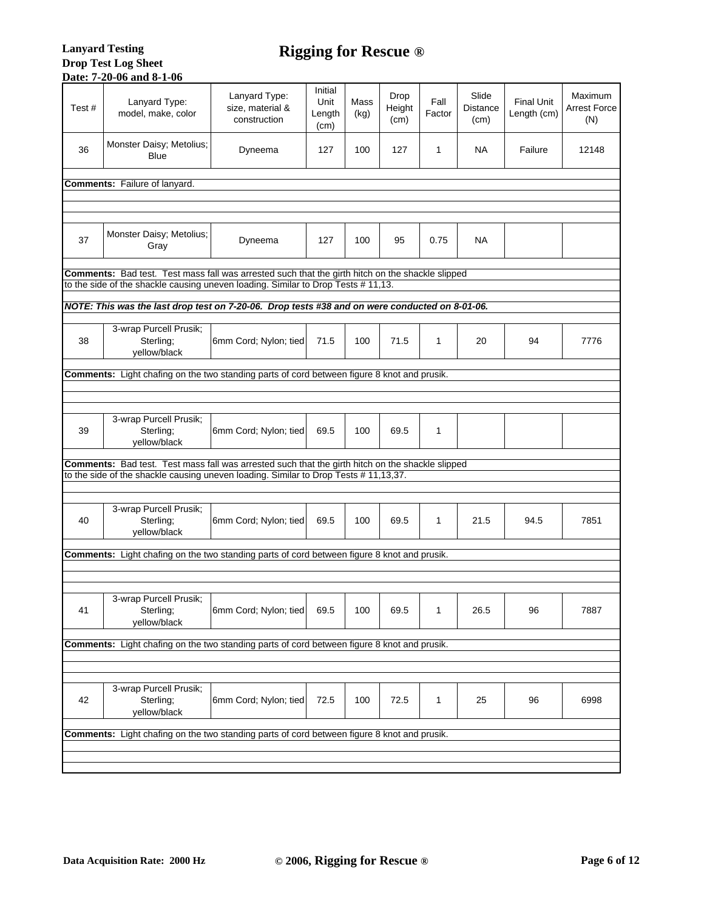#### **Lanyard Testing Drop Test Log Sheet Date: 7-20-06 and 8-1-06**

| Test# | Lanyard Type:<br>model, make, color                                                                     | Lanyard Type:<br>size, material &<br>construction | Initial<br>Unit<br>Length<br>(cm) | Mass<br>(kg) | Drop<br>Height<br>(cm) | Fall<br>Factor | Slide<br><b>Distance</b><br>(cm) | <b>Final Unit</b><br>Length (cm) | Maximum<br><b>Arrest Force</b><br>(N) |
|-------|---------------------------------------------------------------------------------------------------------|---------------------------------------------------|-----------------------------------|--------------|------------------------|----------------|----------------------------------|----------------------------------|---------------------------------------|
| 36    | Monster Daisy; Metolius;<br><b>Blue</b>                                                                 | Dyneema                                           | 127                               | 100          | 127                    | 1              | NA                               | Failure                          | 12148                                 |
|       | Comments: Failure of lanyard.                                                                           |                                                   |                                   |              |                        |                |                                  |                                  |                                       |
|       |                                                                                                         |                                                   |                                   |              |                        |                |                                  |                                  |                                       |
|       |                                                                                                         |                                                   |                                   |              |                        |                |                                  |                                  |                                       |
| 37    | Monster Daisy; Metolius;<br>Gray                                                                        | Dyneema                                           | 127                               | 100          | 95                     | 0.75           | NA                               |                                  |                                       |
|       | Comments: Bad test. Test mass fall was arrested such that the girth hitch on the shackle slipped        |                                                   |                                   |              |                        |                |                                  |                                  |                                       |
|       | to the side of the shackle causing uneven loading. Similar to Drop Tests # 11,13.                       |                                                   |                                   |              |                        |                |                                  |                                  |                                       |
|       | NOTE: This was the last drop test on 7-20-06. Drop tests #38 and on were conducted on 8-01-06.          |                                                   |                                   |              |                        |                |                                  |                                  |                                       |
| 38    | 3-wrap Purcell Prusik;<br>Sterling;<br>yellow/black                                                     | 6mm Cord; Nylon; tied                             | 71.5                              | 100          | 71.5                   | 1              | 20                               | 94                               | 7776                                  |
|       | <b>Comments:</b> Light chafing on the two standing parts of cord between figure 8 knot and prusik.      |                                                   |                                   |              |                        |                |                                  |                                  |                                       |
|       |                                                                                                         |                                                   |                                   |              |                        |                |                                  |                                  |                                       |
|       | 3-wrap Purcell Prusik;                                                                                  |                                                   |                                   |              |                        |                |                                  |                                  |                                       |
| 39    | Sterling;<br>yellow/black                                                                               | 6mm Cord; Nylon; tied                             | 69.5                              | 100          | 69.5                   | 1              |                                  |                                  |                                       |
|       | <b>Comments:</b> Bad test. Test mass fall was arrested such that the girth hitch on the shackle slipped |                                                   |                                   |              |                        |                |                                  |                                  |                                       |
|       | to the side of the shackle causing uneven loading. Similar to Drop Tests # 11,13,37.                    |                                                   |                                   |              |                        |                |                                  |                                  |                                       |
| 40    | 3-wrap Purcell Prusik;<br>Sterling;<br>yellow/black                                                     | 6mm Cord; Nylon; tied                             | 69.5                              | 100          | 69.5                   | 1              | 21.5                             | 94.5                             | 7851                                  |
|       | <b>Comments:</b> Light chafing on the two standing parts of cord between figure 8 knot and prusik.      |                                                   |                                   |              |                        |                |                                  |                                  |                                       |
|       |                                                                                                         |                                                   |                                   |              |                        |                |                                  |                                  |                                       |
|       |                                                                                                         |                                                   |                                   |              |                        |                |                                  |                                  |                                       |
| 41    | 3-wrap Purcell Prusik;<br>Sterling;<br>yellow/black                                                     | 6mm Cord; Nylon; tied                             | 69.5                              | 100          | 69.5                   | 1              | 26.5                             | 96                               | 7887                                  |
|       | <b>Comments:</b> Light chafing on the two standing parts of cord between figure 8 knot and prusik.      |                                                   |                                   |              |                        |                |                                  |                                  |                                       |
|       |                                                                                                         |                                                   |                                   |              |                        |                |                                  |                                  |                                       |
|       | 3-wrap Purcell Prusik;                                                                                  |                                                   |                                   |              |                        |                |                                  |                                  |                                       |
| 42    | Sterling;<br>yellow/black                                                                               | 6mm Cord; Nylon; tied                             | 72.5                              | 100          | 72.5                   | 1              | 25                               | 96                               | 6998                                  |
|       | Comments: Light chafing on the two standing parts of cord between figure 8 knot and prusik.             |                                                   |                                   |              |                        |                |                                  |                                  |                                       |
|       |                                                                                                         |                                                   |                                   |              |                        |                |                                  |                                  |                                       |
|       |                                                                                                         |                                                   |                                   |              |                        |                |                                  |                                  |                                       |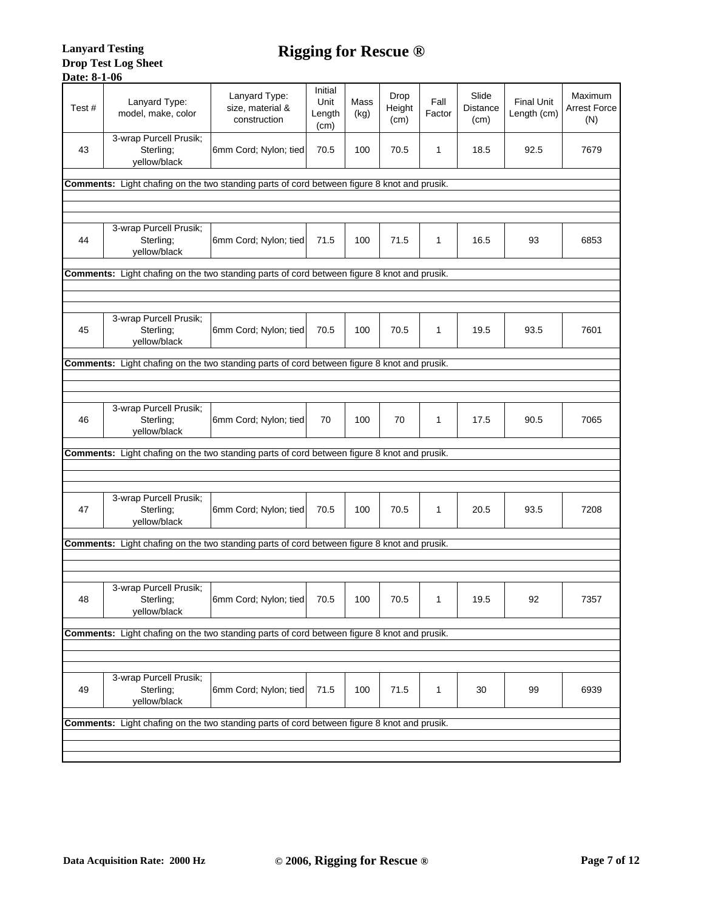| Test# | Lanyard Type:<br>model, make, color                                                                | Lanyard Type:<br>size, material &<br>construction | Initial<br>Unit<br>Length<br>(cm) | Mass<br>(kg) | Drop<br>Height<br>(cm) | Fall<br>Factor | Slide<br><b>Distance</b><br>(cm) | <b>Final Unit</b><br>Length (cm) | Maximum<br><b>Arrest Force</b><br>(N) |
|-------|----------------------------------------------------------------------------------------------------|---------------------------------------------------|-----------------------------------|--------------|------------------------|----------------|----------------------------------|----------------------------------|---------------------------------------|
| 43    | 3-wrap Purcell Prusik;<br>Sterling:<br>yellow/black                                                | 6mm Cord; Nylon; tied                             | 70.5                              | 100          | 70.5                   | 1              | 18.5                             | 92.5                             | 7679                                  |
|       | Comments: Light chafing on the two standing parts of cord between figure 8 knot and prusik.        |                                                   |                                   |              |                        |                |                                  |                                  |                                       |
|       |                                                                                                    |                                                   |                                   |              |                        |                |                                  |                                  |                                       |
|       |                                                                                                    |                                                   |                                   |              |                        |                |                                  |                                  |                                       |
| 44    | 3-wrap Purcell Prusik;<br>Sterling:<br>yellow/black                                                | 6mm Cord; Nylon; tied                             | 71.5                              | 100          | 71.5                   | 1              | 16.5                             | 93                               | 6853                                  |
|       | Comments: Light chafing on the two standing parts of cord between figure 8 knot and prusik.        |                                                   |                                   |              |                        |                |                                  |                                  |                                       |
|       |                                                                                                    |                                                   |                                   |              |                        |                |                                  |                                  |                                       |
|       |                                                                                                    |                                                   |                                   |              |                        |                |                                  |                                  |                                       |
| 45    | 3-wrap Purcell Prusik;<br>Sterling;<br>yellow/black                                                | 6mm Cord; Nylon; tied                             | 70.5                              | 100          | 70.5                   | 1              | 19.5                             | 93.5                             | 7601                                  |
|       | <b>Comments:</b> Light chafing on the two standing parts of cord between figure 8 knot and prusik. |                                                   |                                   |              |                        |                |                                  |                                  |                                       |
|       |                                                                                                    |                                                   |                                   |              |                        |                |                                  |                                  |                                       |
|       |                                                                                                    |                                                   |                                   |              |                        |                |                                  |                                  |                                       |
| 46    | 3-wrap Purcell Prusik;<br>Sterling;<br>yellow/black                                                | 6mm Cord; Nylon; tied                             | 70                                | 100          | 70                     | 1              | 17.5                             | 90.5                             | 7065                                  |
|       | Comments: Light chafing on the two standing parts of cord between figure 8 knot and prusik.        |                                                   |                                   |              |                        |                |                                  |                                  |                                       |
|       |                                                                                                    |                                                   |                                   |              |                        |                |                                  |                                  |                                       |
|       |                                                                                                    |                                                   |                                   |              |                        |                |                                  |                                  |                                       |
| 47    | 3-wrap Purcell Prusik;<br>Sterling;<br>yellow/black                                                | 6mm Cord; Nylon; tied                             | 70.5                              | 100          | 70.5                   | 1              | 20.5                             | 93.5                             | 7208                                  |
|       | Comments: Light chafing on the two standing parts of cord between figure 8 knot and prusik.        |                                                   |                                   |              |                        |                |                                  |                                  |                                       |
|       |                                                                                                    |                                                   |                                   |              |                        |                |                                  |                                  |                                       |
|       |                                                                                                    |                                                   |                                   |              |                        |                |                                  |                                  |                                       |
| 48    | 3-wrap Purcell Prusik;<br>Sterling;<br>yellow/black                                                | 6mm Cord; Nylon; tied                             | 70.5                              | 100          | 70.5                   | 1              | 19.5                             | 92                               | 7357                                  |
|       | <b>Comments:</b> Light chafing on the two standing parts of cord between figure 8 knot and prusik. |                                                   |                                   |              |                        |                |                                  |                                  |                                       |
|       |                                                                                                    |                                                   |                                   |              |                        |                |                                  |                                  |                                       |
|       |                                                                                                    |                                                   |                                   |              |                        |                |                                  |                                  |                                       |
| 49    | 3-wrap Purcell Prusik;<br>Sterling;<br>yellow/black                                                | 6mm Cord; Nylon; tied                             | 71.5                              | 100          | 71.5                   | 1              | 30                               | 99                               | 6939                                  |
|       | <b>Comments:</b> Light chafing on the two standing parts of cord between figure 8 knot and prusik. |                                                   |                                   |              |                        |                |                                  |                                  |                                       |
|       |                                                                                                    |                                                   |                                   |              |                        |                |                                  |                                  |                                       |
|       |                                                                                                    |                                                   |                                   |              |                        |                |                                  |                                  |                                       |
|       |                                                                                                    |                                                   |                                   |              |                        |                |                                  |                                  |                                       |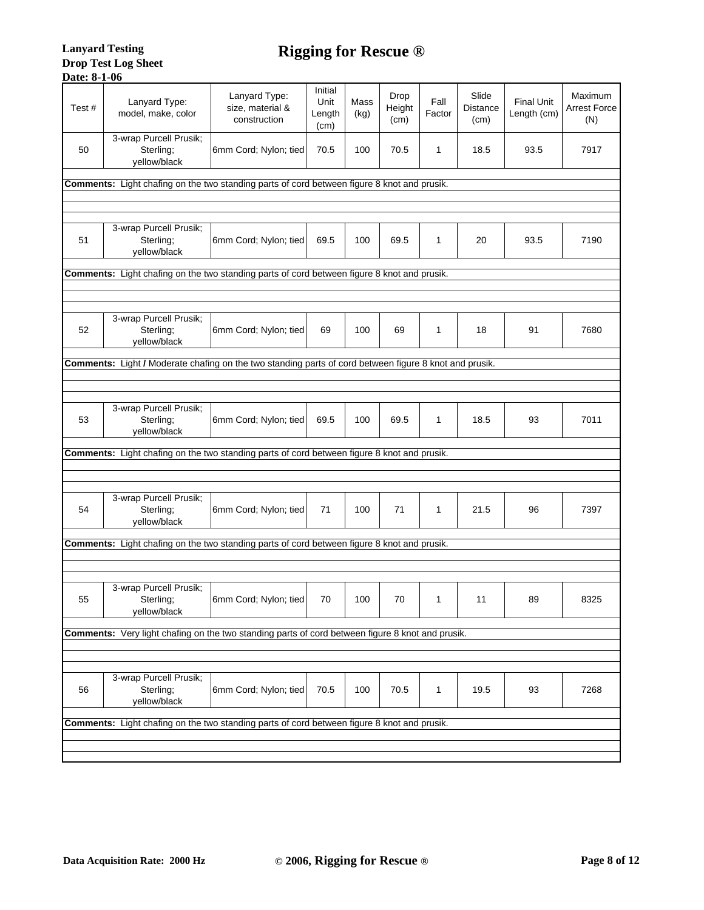| Test#                                                                                       | Lanyard Type:<br>model, make, color                                                                     | Lanyard Type:<br>size, material &<br>construction                                            | Initial<br>Unit<br>Length<br>(cm) | Mass<br>(kg) | Drop<br>Height<br>(cm) | Fall<br>Factor | Slide<br><b>Distance</b><br>(cm) | <b>Final Unit</b><br>Length (cm) | Maximum<br><b>Arrest Force</b><br>(N) |  |
|---------------------------------------------------------------------------------------------|---------------------------------------------------------------------------------------------------------|----------------------------------------------------------------------------------------------|-----------------------------------|--------------|------------------------|----------------|----------------------------------|----------------------------------|---------------------------------------|--|
| 50                                                                                          | 3-wrap Purcell Prusik;<br>Sterling;<br>yellow/black                                                     | 6mm Cord; Nylon; tied                                                                        | 70.5                              | 100          | 70.5                   | 1              | 18.5                             | 93.5                             | 7917                                  |  |
|                                                                                             | Comments: Light chafing on the two standing parts of cord between figure 8 knot and prusik.             |                                                                                              |                                   |              |                        |                |                                  |                                  |                                       |  |
|                                                                                             |                                                                                                         |                                                                                              |                                   |              |                        |                |                                  |                                  |                                       |  |
|                                                                                             |                                                                                                         |                                                                                              |                                   |              |                        |                |                                  |                                  |                                       |  |
| 51                                                                                          | 3-wrap Purcell Prusik;<br>Sterling:<br>yellow/black                                                     | 6mm Cord; Nylon; tied                                                                        | 69.5                              | 100          | 69.5                   | 1              | 20                               | 93.5                             | 7190                                  |  |
|                                                                                             | Comments: Light chafing on the two standing parts of cord between figure 8 knot and prusik.             |                                                                                              |                                   |              |                        |                |                                  |                                  |                                       |  |
|                                                                                             |                                                                                                         |                                                                                              |                                   |              |                        |                |                                  |                                  |                                       |  |
|                                                                                             |                                                                                                         |                                                                                              |                                   |              |                        |                |                                  |                                  |                                       |  |
| 52                                                                                          | 3-wrap Purcell Prusik;<br>Sterling;<br>yellow/black                                                     | 6mm Cord; Nylon; tied                                                                        | 69                                | 100          | 69                     | 1              | 18                               | 91                               | 7680                                  |  |
| <b>Comments:</b>                                                                            |                                                                                                         | Light / Moderate chafing on the two standing parts of cord between figure 8 knot and prusik. |                                   |              |                        |                |                                  |                                  |                                       |  |
|                                                                                             |                                                                                                         |                                                                                              |                                   |              |                        |                |                                  |                                  |                                       |  |
|                                                                                             |                                                                                                         |                                                                                              |                                   |              |                        |                |                                  |                                  |                                       |  |
| 53                                                                                          | 3-wrap Purcell Prusik;<br>Sterling;<br>yellow/black                                                     | 6mm Cord; Nylon; tied                                                                        | 69.5                              | 100          | 69.5                   | 1              | 18.5                             | 93                               | 7011                                  |  |
| Comments: Light chafing on the two standing parts of cord between figure 8 knot and prusik. |                                                                                                         |                                                                                              |                                   |              |                        |                |                                  |                                  |                                       |  |
|                                                                                             |                                                                                                         |                                                                                              |                                   |              |                        |                |                                  |                                  |                                       |  |
|                                                                                             |                                                                                                         |                                                                                              |                                   |              |                        |                |                                  |                                  |                                       |  |
| 54                                                                                          | 3-wrap Purcell Prusik;<br>Sterling;<br>yellow/black                                                     | 6mm Cord; Nylon; tied                                                                        | 71                                | 100          | 71                     | 1              | 21.5                             | 96                               | 7397                                  |  |
|                                                                                             | Comments: Light chafing on the two standing parts of cord between figure 8 knot and prusik.             |                                                                                              |                                   |              |                        |                |                                  |                                  |                                       |  |
|                                                                                             |                                                                                                         |                                                                                              |                                   |              |                        |                |                                  |                                  |                                       |  |
|                                                                                             |                                                                                                         |                                                                                              |                                   |              |                        |                |                                  |                                  |                                       |  |
| 55                                                                                          | 3-wrap Purcell Prusik;<br>Sterling;<br>yellow/black                                                     | 6mm Cord; Nylon; tied                                                                        | 70                                | 100          | 70                     | 1              | 11                               | 89                               | 8325                                  |  |
|                                                                                             | <b>Comments:</b> Very light chafing on the two standing parts of cord between figure 8 knot and prusik. |                                                                                              |                                   |              |                        |                |                                  |                                  |                                       |  |
|                                                                                             |                                                                                                         |                                                                                              |                                   |              |                        |                |                                  |                                  |                                       |  |
|                                                                                             |                                                                                                         |                                                                                              |                                   |              |                        |                |                                  |                                  |                                       |  |
| 56                                                                                          | 3-wrap Purcell Prusik;<br>Sterling;                                                                     | 6mm Cord; Nylon; tied                                                                        | 70.5                              | 100          | 70.5                   | 1              | 19.5                             | 93                               | 7268                                  |  |
|                                                                                             | yellow/black                                                                                            |                                                                                              |                                   |              |                        |                |                                  |                                  |                                       |  |
|                                                                                             | <b>Comments:</b> Light chafing on the two standing parts of cord between figure 8 knot and prusik.      |                                                                                              |                                   |              |                        |                |                                  |                                  |                                       |  |
|                                                                                             |                                                                                                         |                                                                                              |                                   |              |                        |                |                                  |                                  |                                       |  |
|                                                                                             |                                                                                                         |                                                                                              |                                   |              |                        |                |                                  |                                  |                                       |  |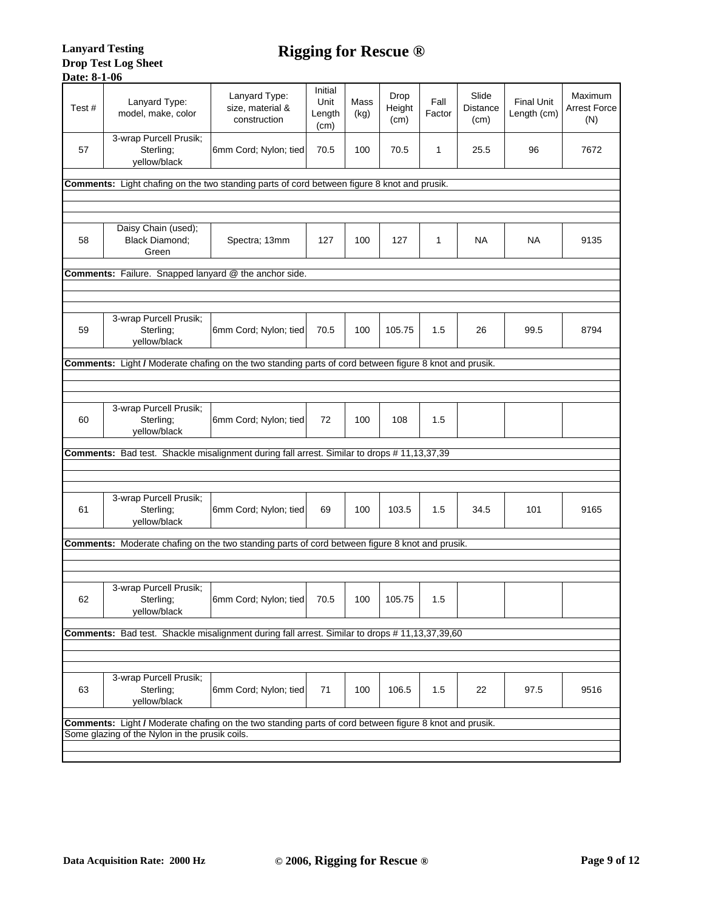| Test#                                                                                       | Lanyard Type:<br>model, make, color                                                                    | Lanyard Type:<br>size, material &<br>construction | Initial<br>Unit<br>Length<br>(cm) | Mass<br>(kg) | Drop<br>Height<br>(cm) | Fall<br>Factor | Slide<br>Distance<br>(cm) | <b>Final Unit</b><br>Length (cm) | Maximum<br><b>Arrest Force</b><br>(N) |  |
|---------------------------------------------------------------------------------------------|--------------------------------------------------------------------------------------------------------|---------------------------------------------------|-----------------------------------|--------------|------------------------|----------------|---------------------------|----------------------------------|---------------------------------------|--|
| 57                                                                                          | 3-wrap Purcell Prusik;<br>Sterling;<br>yellow/black                                                    | 6mm Cord; Nylon; tied                             | 70.5                              | 100          | 70.5                   | 1              | 25.5                      | 96                               | 7672                                  |  |
| Comments: Light chafing on the two standing parts of cord between figure 8 knot and prusik. |                                                                                                        |                                                   |                                   |              |                        |                |                           |                                  |                                       |  |
|                                                                                             |                                                                                                        |                                                   |                                   |              |                        |                |                           |                                  |                                       |  |
| 58                                                                                          | Daisy Chain (used);<br><b>Black Diamond:</b><br>Green                                                  | Spectra; 13mm                                     | 127                               | 100          | 127                    | 1              | NA                        | NA                               | 9135                                  |  |
|                                                                                             | Comments: Failure. Snapped lanyard @ the anchor side.                                                  |                                                   |                                   |              |                        |                |                           |                                  |                                       |  |
|                                                                                             |                                                                                                        |                                                   |                                   |              |                        |                |                           |                                  |                                       |  |
|                                                                                             |                                                                                                        |                                                   |                                   |              |                        |                |                           |                                  |                                       |  |
| 59                                                                                          | 3-wrap Purcell Prusik;<br>Sterling;<br>yellow/black                                                    | 6mm Cord; Nylon; tied                             | 70.5                              | 100          | 105.75                 | 1.5            | 26                        | 99.5                             | 8794                                  |  |
|                                                                                             | Comments: Light / Moderate chafing on the two standing parts of cord between figure 8 knot and prusik. |                                                   |                                   |              |                        |                |                           |                                  |                                       |  |
|                                                                                             |                                                                                                        |                                                   |                                   |              |                        |                |                           |                                  |                                       |  |
|                                                                                             |                                                                                                        |                                                   |                                   |              |                        |                |                           |                                  |                                       |  |
| 60                                                                                          | 3-wrap Purcell Prusik;<br>Sterling;<br>yellow/black                                                    | 6mm Cord; Nylon; tied                             | 72                                | 100          | 108                    | 1.5            |                           |                                  |                                       |  |
| Comments: Bad test. Shackle misalignment during fall arrest. Similar to drops # 11,13,37,39 |                                                                                                        |                                                   |                                   |              |                        |                |                           |                                  |                                       |  |
|                                                                                             |                                                                                                        |                                                   |                                   |              |                        |                |                           |                                  |                                       |  |
| 61                                                                                          | 3-wrap Purcell Prusik;<br>Sterling;<br>yellow/black                                                    | 6mm Cord; Nylon; tied                             | 69                                | 100          | 103.5                  | 1.5            | 34.5                      | 101                              | 9165                                  |  |
|                                                                                             | Comments: Moderate chafing on the two standing parts of cord between figure 8 knot and prusik.         |                                                   |                                   |              |                        |                |                           |                                  |                                       |  |
|                                                                                             |                                                                                                        |                                                   |                                   |              |                        |                |                           |                                  |                                       |  |
|                                                                                             |                                                                                                        |                                                   |                                   |              |                        |                |                           |                                  |                                       |  |
| 62                                                                                          | 3-wrap Purcell Prusik;<br>Sterling;<br>yellow/black                                                    | 6mm Cord; Nylon; tied                             | 70.5                              | 100          | 105.75                 | 1.5            |                           |                                  |                                       |  |
|                                                                                             | Comments: Bad test. Shackle misalignment during fall arrest. Similar to drops #11,13,37,39,60          |                                                   |                                   |              |                        |                |                           |                                  |                                       |  |
|                                                                                             |                                                                                                        |                                                   |                                   |              |                        |                |                           |                                  |                                       |  |
|                                                                                             | 3-wrap Purcell Prusik;                                                                                 |                                                   |                                   |              |                        |                |                           |                                  |                                       |  |
| 63                                                                                          | Sterling;<br>yellow/black                                                                              | 6mm Cord; Nylon; tied                             | 71                                | 100          | 106.5                  | 1.5            | 22                        | 97.5                             | 9516                                  |  |
|                                                                                             | Comments: Light / Moderate chafing on the two standing parts of cord between figure 8 knot and prusik. |                                                   |                                   |              |                        |                |                           |                                  |                                       |  |
|                                                                                             | Some glazing of the Nylon in the prusik coils.                                                         |                                                   |                                   |              |                        |                |                           |                                  |                                       |  |
|                                                                                             |                                                                                                        |                                                   |                                   |              |                        |                |                           |                                  |                                       |  |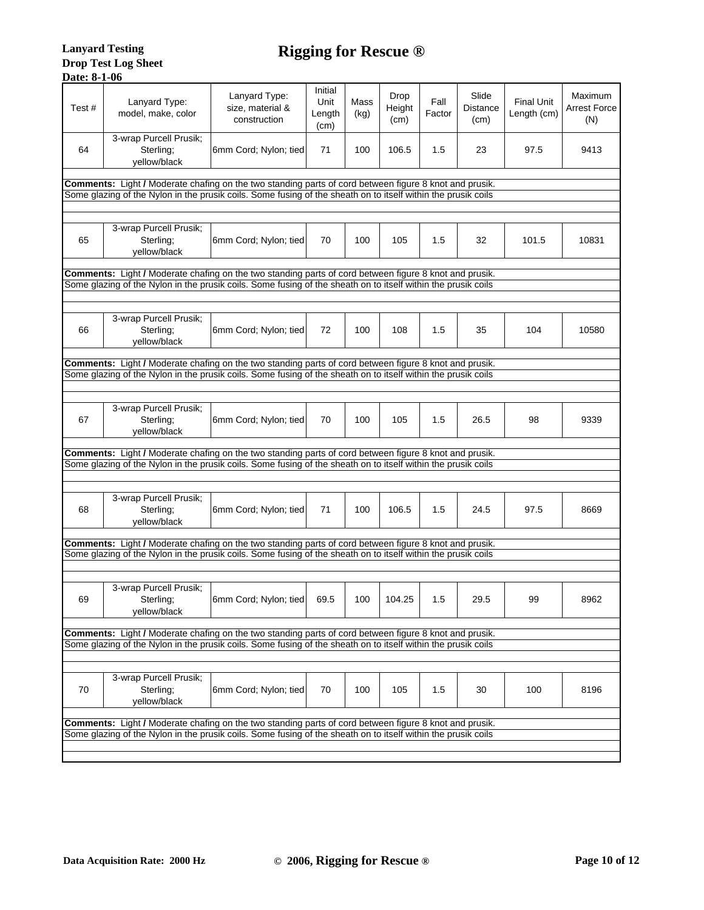| Test# | Lanyard Type:<br>model, make, color                                                                           | Lanyard Type:<br>size, material &<br>construction | Initial<br>Unit<br>Length<br>(cm) | Mass<br>(kg) | Drop<br>Height<br>(cm) | Fall<br>Factor | Slide<br>Distance<br>(cm) | <b>Final Unit</b><br>Length (cm) | Maximum<br><b>Arrest Force</b><br>(N) |
|-------|---------------------------------------------------------------------------------------------------------------|---------------------------------------------------|-----------------------------------|--------------|------------------------|----------------|---------------------------|----------------------------------|---------------------------------------|
| 64    | 3-wrap Purcell Prusik;<br>Sterling;<br>yellow/black                                                           | 6mm Cord; Nylon; tied                             | 71                                | 100          | 106.5                  | 1.5            | 23                        | 97.5                             | 9413                                  |
|       | <b>Comments:</b> Light / Moderate chafing on the two standing parts of cord between figure 8 knot and prusik. |                                                   |                                   |              |                        |                |                           |                                  |                                       |
|       | Some glazing of the Nylon in the prusik coils. Some fusing of the sheath on to itself within the prusik coils |                                                   |                                   |              |                        |                |                           |                                  |                                       |
|       |                                                                                                               |                                                   |                                   |              |                        |                |                           |                                  |                                       |
| 65    | 3-wrap Purcell Prusik;<br>Sterling:<br>yellow/black                                                           | 6mm Cord; Nylon; tied                             | 70                                | 100          | 105                    | 1.5            | 32                        | 101.5                            | 10831                                 |
|       | Comments: Light / Moderate chafing on the two standing parts of cord between figure 8 knot and prusik.        |                                                   |                                   |              |                        |                |                           |                                  |                                       |
|       | Some glazing of the Nylon in the prusik coils. Some fusing of the sheath on to itself within the prusik coils |                                                   |                                   |              |                        |                |                           |                                  |                                       |
|       |                                                                                                               |                                                   |                                   |              |                        |                |                           |                                  |                                       |
| 66    | 3-wrap Purcell Prusik;<br>Sterling;<br>yellow/black                                                           | 6mm Cord; Nylon; tied                             | 72                                | 100          | 108                    | 1.5            | 35                        | 104                              | 10580                                 |
|       | Comments: Light / Moderate chafing on the two standing parts of cord between figure 8 knot and prusik.        |                                                   |                                   |              |                        |                |                           |                                  |                                       |
|       | Some glazing of the Nylon in the prusik coils. Some fusing of the sheath on to itself within the prusik coils |                                                   |                                   |              |                        |                |                           |                                  |                                       |
|       |                                                                                                               |                                                   |                                   |              |                        |                |                           |                                  |                                       |
| 67    | 3-wrap Purcell Prusik;<br>Sterling;<br>yellow/black                                                           | 6mm Cord; Nylon; tied                             | 70                                | 100          | 105                    | 1.5            | 26.5                      | 98                               | 9339                                  |
|       | Comments: Light / Moderate chafing on the two standing parts of cord between figure 8 knot and prusik.        |                                                   |                                   |              |                        |                |                           |                                  |                                       |
|       | Some glazing of the Nylon in the prusik coils. Some fusing of the sheath on to itself within the prusik coils |                                                   |                                   |              |                        |                |                           |                                  |                                       |
|       |                                                                                                               |                                                   |                                   |              |                        |                |                           |                                  |                                       |
| 68    | 3-wrap Purcell Prusik;<br>Sterling;<br>yellow/black                                                           | 6mm Cord; Nylon; tied                             | 71                                | 100          | 106.5                  | 1.5            | 24.5                      | 97.5                             | 8669                                  |
|       | Comments: Light / Moderate chafing on the two standing parts of cord between figure 8 knot and prusik.        |                                                   |                                   |              |                        |                |                           |                                  |                                       |
|       | Some glazing of the Nylon in the prusik coils. Some fusing of the sheath on to itself within the prusik coils |                                                   |                                   |              |                        |                |                           |                                  |                                       |
|       |                                                                                                               |                                                   |                                   |              |                        |                |                           |                                  |                                       |
|       |                                                                                                               |                                                   |                                   |              |                        |                |                           |                                  |                                       |
| 69    | 3-wrap Purcell Prusik;<br>Sterling;<br>yellow/black                                                           | 6mm Cord; Nylon; tied                             | 69.5                              | 100          | 104.25                 | 1.5            | 29.5                      | 99                               | 8962                                  |
|       | Comments: Light / Moderate chafing on the two standing parts of cord between figure 8 knot and prusik.        |                                                   |                                   |              |                        |                |                           |                                  |                                       |
|       | Some glazing of the Nylon in the prusik coils. Some fusing of the sheath on to itself within the prusik coils |                                                   |                                   |              |                        |                |                           |                                  |                                       |
|       | 3-wrap Purcell Prusik;                                                                                        |                                                   |                                   |              |                        |                |                           |                                  |                                       |
| 70    | Sterling;<br>yellow/black                                                                                     | 6mm Cord; Nylon; tied                             | 70                                | 100          | 105                    | 1.5            | 30                        | 100                              | 8196                                  |
|       | Comments: Light / Moderate chafing on the two standing parts of cord between figure 8 knot and prusik.        |                                                   |                                   |              |                        |                |                           |                                  |                                       |
|       | Some glazing of the Nylon in the prusik coils. Some fusing of the sheath on to itself within the prusik coils |                                                   |                                   |              |                        |                |                           |                                  |                                       |
|       |                                                                                                               |                                                   |                                   |              |                        |                |                           |                                  |                                       |
|       |                                                                                                               |                                                   |                                   |              |                        |                |                           |                                  |                                       |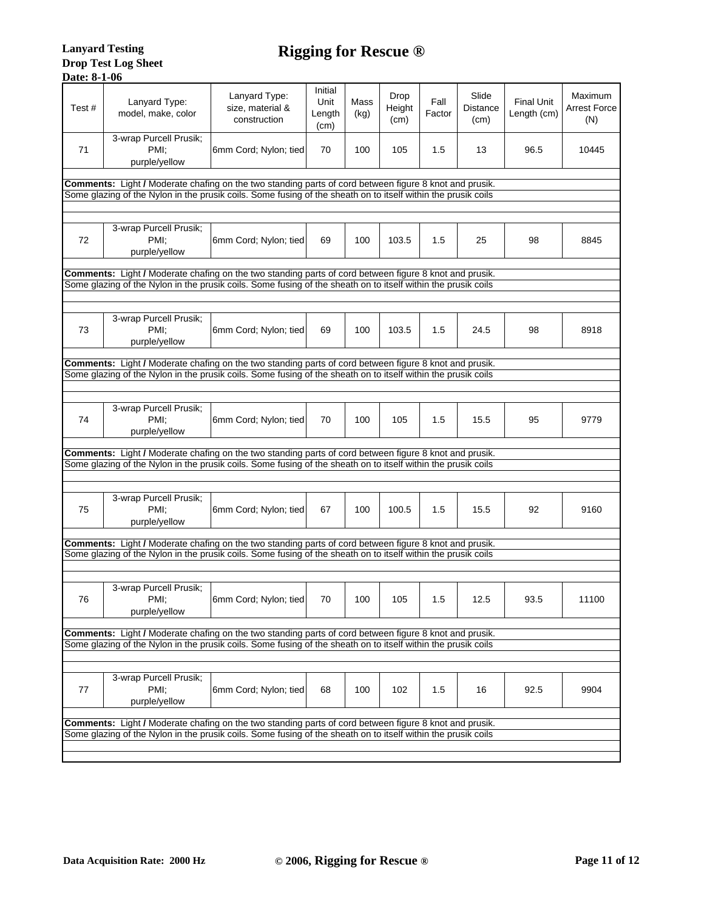| Test# | Lanyard Type:<br>model, make, color                                                                           | Lanyard Type:<br>size, material &<br>construction | Initial<br>Unit<br>Length<br>(cm) | Mass<br>(kg) | Drop<br>Height<br>(cm) | Fall<br>Factor | Slide<br>Distance<br>(cm) | <b>Final Unit</b><br>Length (cm) | Maximum<br><b>Arrest Force</b><br>(N) |
|-------|---------------------------------------------------------------------------------------------------------------|---------------------------------------------------|-----------------------------------|--------------|------------------------|----------------|---------------------------|----------------------------------|---------------------------------------|
| 71    | 3-wrap Purcell Prusik;<br>PMI:<br>purple/yellow                                                               | 6mm Cord; Nylon; tied                             | 70                                | 100          | 105                    | 1.5            | 13                        | 96.5                             | 10445                                 |
|       | Comments: Light / Moderate chafing on the two standing parts of cord between figure 8 knot and prusik.        |                                                   |                                   |              |                        |                |                           |                                  |                                       |
|       | Some glazing of the Nylon in the prusik coils. Some fusing of the sheath on to itself within the prusik coils |                                                   |                                   |              |                        |                |                           |                                  |                                       |
|       |                                                                                                               |                                                   |                                   |              |                        |                |                           |                                  |                                       |
| 72    | 3-wrap Purcell Prusik;<br>PMI:<br>purple/yellow                                                               | 6mm Cord; Nylon; tied                             | 69                                | 100          | 103.5                  | 1.5            | 25                        | 98                               | 8845                                  |
|       | Comments: Light / Moderate chafing on the two standing parts of cord between figure 8 knot and prusik.        |                                                   |                                   |              |                        |                |                           |                                  |                                       |
|       | Some glazing of the Nylon in the prusik coils. Some fusing of the sheath on to itself within the prusik coils |                                                   |                                   |              |                        |                |                           |                                  |                                       |
|       |                                                                                                               |                                                   |                                   |              |                        |                |                           |                                  |                                       |
| 73    | 3-wrap Purcell Prusik;<br>PMI:<br>purple/yellow                                                               | 6mm Cord; Nylon; tied                             | 69                                | 100          | 103.5                  | 1.5            | 24.5                      | 98                               | 8918                                  |
|       | Comments: Light / Moderate chafing on the two standing parts of cord between figure 8 knot and prusik.        |                                                   |                                   |              |                        |                |                           |                                  |                                       |
|       | Some glazing of the Nylon in the prusik coils. Some fusing of the sheath on to itself within the prusik coils |                                                   |                                   |              |                        |                |                           |                                  |                                       |
|       |                                                                                                               |                                                   |                                   |              |                        |                |                           |                                  |                                       |
| 74    | 3-wrap Purcell Prusik;<br>PMI:<br>purple/yellow                                                               | 6mm Cord; Nylon; tied                             | 70                                | 100          | 105                    | 1.5            | 15.5                      | 95                               | 9779                                  |
|       | Comments: Light / Moderate chafing on the two standing parts of cord between figure 8 knot and prusik.        |                                                   |                                   |              |                        |                |                           |                                  |                                       |
|       | Some glazing of the Nylon in the prusik coils. Some fusing of the sheath on to itself within the prusik coils |                                                   |                                   |              |                        |                |                           |                                  |                                       |
|       |                                                                                                               |                                                   |                                   |              |                        |                |                           |                                  |                                       |
| 75    | 3-wrap Purcell Prusik;<br>PMI:<br>purple/yellow                                                               | 6mm Cord; Nylon; tied                             | 67                                | 100          | 100.5                  | 1.5            | 15.5                      | 92                               | 9160                                  |
|       | Comments: Light / Moderate chafing on the two standing parts of cord between figure 8 knot and prusik.        |                                                   |                                   |              |                        |                |                           |                                  |                                       |
|       | Some glazing of the Nylon in the prusik coils. Some fusing of the sheath on to itself within the prusik coils |                                                   |                                   |              |                        |                |                           |                                  |                                       |
|       |                                                                                                               |                                                   |                                   |              |                        |                |                           |                                  |                                       |
| 76    | 3-wrap Purcell Prusik;<br>PMI;<br>purple/yellow                                                               | 6mm Cord; Nylon; tied                             | 70                                | 100          | 105                    | 1.5            | 12.5                      | 93.5                             | 11100                                 |
|       | Comments: Light / Moderate chafing on the two standing parts of cord between figure 8 knot and prusik.        |                                                   |                                   |              |                        |                |                           |                                  |                                       |
|       | Some glazing of the Nylon in the prusik coils. Some fusing of the sheath on to itself within the prusik coils |                                                   |                                   |              |                        |                |                           |                                  |                                       |
|       |                                                                                                               |                                                   |                                   |              |                        |                |                           |                                  |                                       |
| 77    | 3-wrap Purcell Prusik;<br>PMI:<br>purple/yellow                                                               | 6mm Cord; Nylon; tied                             | 68                                | 100          | 102                    | 1.5            | 16                        | 92.5                             | 9904                                  |
|       | <b>Comments:</b> Light / Moderate chafing on the two standing parts of cord between figure 8 knot and prusik. |                                                   |                                   |              |                        |                |                           |                                  |                                       |
|       | Some glazing of the Nylon in the prusik coils. Some fusing of the sheath on to itself within the prusik coils |                                                   |                                   |              |                        |                |                           |                                  |                                       |
|       |                                                                                                               |                                                   |                                   |              |                        |                |                           |                                  |                                       |